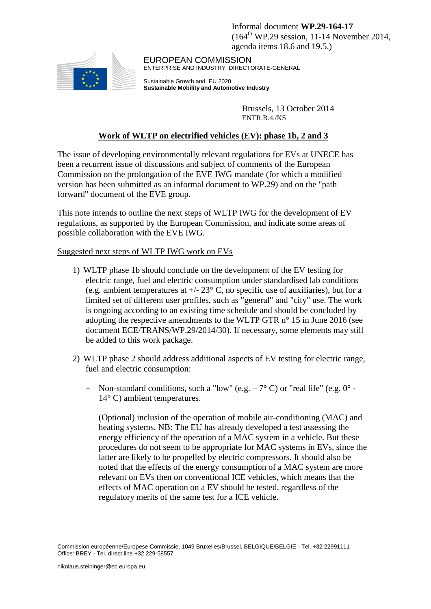Informal document **WP.29-164-17**  $(164^{\text{th}}$  WP.29 session, 11-14 November 2014, agenda items 18.6 and 19.5.)



EUROPEAN COMMISSION ENTERPRISE AND INDUSTRY DIRECTORATE-GENERAL

Sustainable Growth and EU 2020 **Sustainable Mobility and Automotive Industry**

> Brussels, 13 October 2014 ENTR.B.4./KS

# **Work of WLTP on electrified vehicles (EV): phase 1b, 2 and 3**

The issue of developing environmentally relevant regulations for EVs at UNECE has been a recurrent issue of discussions and subject of comments of the European Commission on the prolongation of the EVE IWG mandate (for which a modified version has been submitted as an informal document to WP.29) and on the "path forward" document of the EVE group.

This note intends to outline the next steps of WLTP IWG for the development of EV regulations, as supported by the European Commission, and indicate some areas of possible collaboration with the EVE IWG.

#### Suggested next steps of WLTP IWG work on EVs

- 1) WLTP phase 1b should conclude on the development of the EV testing for electric range, fuel and electric consumption under standardised lab conditions (e.g. ambient temperatures at  $+/- 23^{\circ}$  C, no specific use of auxiliaries), but for a limited set of different user profiles, such as "general" and "city" use. The work is ongoing according to an existing time schedule and should be concluded by adopting the respective amendments to the WLTP GTR n° 15 in June 2016 (see document ECE/TRANS/WP.29/2014/30). If necessary, some elements may still be added to this work package.
- 2) WLTP phase 2 should address additional aspects of EV testing for electric range, fuel and electric consumption:
	- Non-standard conditions, such a "low" (e.g.  $-7^{\circ}$  C) or "real life" (e.g.  $0^{\circ}$  -14° C) ambient temperatures.
	- (Optional) inclusion of the operation of mobile air-conditioning (MAC) and heating systems. NB: The EU has already developed a test assessing the energy efficiency of the operation of a MAC system in a vehicle. But these procedures do not seem to be appropriate for MAC systems in EVs, since the latter are likely to be propelled by electric compressors. It should also be noted that the effects of the energy consumption of a MAC system are more relevant on EVs then on conventional ICE vehicles, which means that the effects of MAC operation on a EV should be tested, regardless of the regulatory merits of the same test for a ICE vehicle.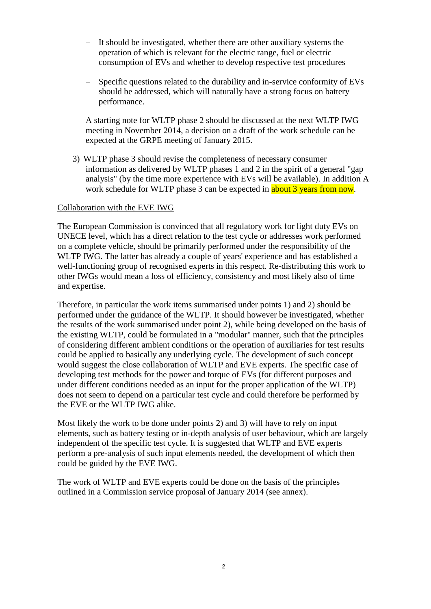- It should be investigated, whether there are other auxiliary systems the operation of which is relevant for the electric range, fuel or electric consumption of EVs and whether to develop respective test procedures
- Specific questions related to the durability and in-service conformity of EVs should be addressed, which will naturally have a strong focus on battery performance.

A starting note for WLTP phase 2 should be discussed at the next WLTP IWG meeting in November 2014, a decision on a draft of the work schedule can be expected at the GRPE meeting of January 2015.

3) WLTP phase 3 should revise the completeness of necessary consumer information as delivered by WLTP phases 1 and 2 in the spirit of a general "gap analysis" (by the time more experience with EVs will be available). In addition A work schedule for WLTP phase 3 can be expected in about 3 years from now.

#### Collaboration with the EVE IWG

The European Commission is convinced that all regulatory work for light duty EVs on UNECE level, which has a direct relation to the test cycle or addresses work performed on a complete vehicle, should be primarily performed under the responsibility of the WLTP IWG. The latter has already a couple of years' experience and has established a well-functioning group of recognised experts in this respect. Re-distributing this work to other IWGs would mean a loss of efficiency, consistency and most likely also of time and expertise.

Therefore, in particular the work items summarised under points 1) and 2) should be performed under the guidance of the WLTP. It should however be investigated, whether the results of the work summarised under point 2), while being developed on the basis of the existing WLTP, could be formulated in a "modular" manner, such that the principles of considering different ambient conditions or the operation of auxiliaries for test results could be applied to basically any underlying cycle. The development of such concept would suggest the close collaboration of WLTP and EVE experts. The specific case of developing test methods for the power and torque of EVs (for different purposes and under different conditions needed as an input for the proper application of the WLTP) does not seem to depend on a particular test cycle and could therefore be performed by the EVE or the WLTP IWG alike.

Most likely the work to be done under points 2) and 3) will have to rely on input elements, such as battery testing or in-depth analysis of user behaviour, which are largely independent of the specific test cycle. It is suggested that WLTP and EVE experts perform a pre-analysis of such input elements needed, the development of which then could be guided by the EVE IWG.

The work of WLTP and EVE experts could be done on the basis of the principles outlined in a Commission service proposal of January 2014 (see annex).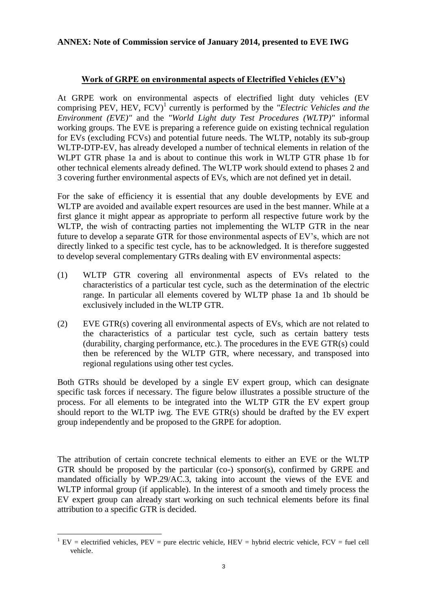## **ANNEX: Note of Commission service of January 2014, presented to EVE IWG**

## **Work of GRPE on environmental aspects of Electrified Vehicles (EV's)**

At GRPE work on environmental aspects of electrified light duty vehicles (EV comprising PEV, HEV, FCV)<sup>1</sup> currently is performed by the *"Electric Vehicles and the Environment (EVE)"* and the *"World Light duty Test Procedures (WLTP)"* informal working groups. The EVE is preparing a reference guide on existing technical regulation for EVs (excluding FCVs) and potential future needs. The WLTP, notably its sub-group WLTP-DTP-EV, has already developed a number of technical elements in relation of the WLPT GTR phase 1a and is about to continue this work in WLTP GTR phase 1b for other technical elements already defined. The WLTP work should extend to phases 2 and 3 covering further environmental aspects of EVs, which are not defined yet in detail.

For the sake of efficiency it is essential that any double developments by EVE and WLTP are avoided and available expert resources are used in the best manner. While at a first glance it might appear as appropriate to perform all respective future work by the WLTP, the wish of contracting parties not implementing the WLTP GTR in the near future to develop a separate GTR for those environmental aspects of EV's, which are not directly linked to a specific test cycle, has to be acknowledged. It is therefore suggested to develop several complementary GTRs dealing with EV environmental aspects:

- (1) WLTP GTR covering all environmental aspects of EVs related to the characteristics of a particular test cycle, such as the determination of the electric range. In particular all elements covered by WLTP phase 1a and 1b should be exclusively included in the WLTP GTR.
- (2) EVE GTR(s) covering all environmental aspects of EVs, which are not related to the characteristics of a particular test cycle, such as certain battery tests (durability, charging performance, etc.). The procedures in the EVE GTR(s) could then be referenced by the WLTP GTR, where necessary, and transposed into regional regulations using other test cycles.

Both GTRs should be developed by a single EV expert group, which can designate specific task forces if necessary. The figure below illustrates a possible structure of the process. For all elements to be integrated into the WLTP GTR the EV expert group should report to the WLTP iwg. The EVE GTR(s) should be drafted by the EV expert group independently and be proposed to the GRPE for adoption.

The attribution of certain concrete technical elements to either an EVE or the WLTP GTR should be proposed by the particular (co-) sponsor(s), confirmed by GRPE and mandated officially by WP.29/AC.3, taking into account the views of the EVE and WLTP informal group (if applicable). In the interest of a smooth and timely process the EV expert group can already start working on such technical elements before its final attribution to a specific GTR is decided.

 $\overline{a}$  $1$  EV = electrified vehicles, PEV = pure electric vehicle, HEV = hybrid electric vehicle, FCV = fuel cell vehicle.